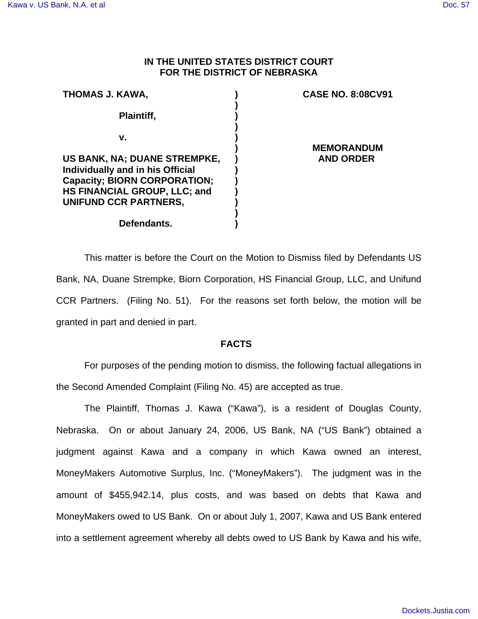# **IN THE UNITED STATES DISTRICT COURT FOR THE DISTRICT OF NEBRASKA**

| THOMAS J. KAWA,                     | <b>CASE NO. 8:08CV91</b>              |
|-------------------------------------|---------------------------------------|
| Plaintiff,                          |                                       |
| v.                                  |                                       |
| US BANK, NA; DUANE STREMPKE,        | <b>MEMORANDUM</b><br><b>AND ORDER</b> |
| Individually and in his Official    |                                       |
| <b>Capacity; BIORN CORPORATION;</b> |                                       |
| HS FINANCIAL GROUP, LLC; and        |                                       |
| UNIFUND CCR PARTNERS,               |                                       |
|                                     |                                       |
| Defendants.                         |                                       |

This matter is before the Court on the Motion to Dismiss filed by Defendants US Bank, NA, Duane Strempke, Biorn Corporation, HS Financial Group, LLC, and Unifund CCR Partners. (Filing No. 51). For the reasons set forth below, the motion will be granted in part and denied in part.

# **FACTS**

For purposes of the pending motion to dismiss, the following factual allegations in the Second Amended Complaint (Filing No. 45) are accepted as true.

The Plaintiff, Thomas J. Kawa ("Kawa"), is a resident of Douglas County, Nebraska. On or about January 24, 2006, US Bank, NA ("US Bank") obtained a judgment against Kawa and a company in which Kawa owned an interest, MoneyMakers Automotive Surplus, Inc. ("MoneyMakers"). The judgment was in the amount of \$455,942.14, plus costs, and was based on debts that Kawa and MoneyMakers owed to US Bank. On or about July 1, 2007, Kawa and US Bank entered into a settlement agreement whereby all debts owed to US Bank by Kawa and his wife,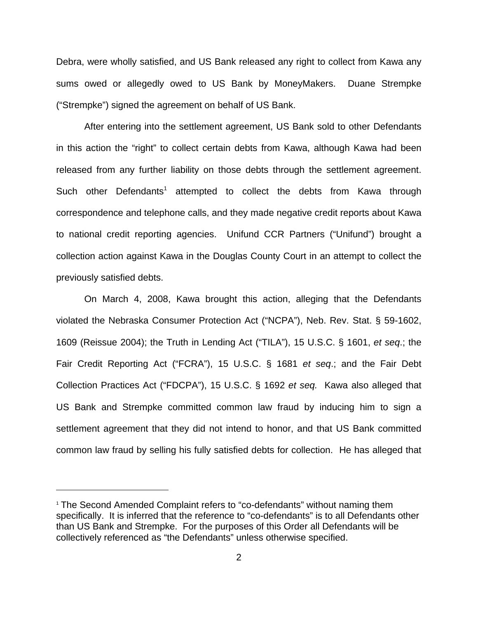Debra, were wholly satisfied, and US Bank released any right to collect from Kawa any sums owed or allegedly owed to US Bank by MoneyMakers. Duane Strempke ("Strempke") signed the agreement on behalf of US Bank.

After entering into the settlement agreement, US Bank sold to other Defendants in this action the "right" to collect certain debts from Kawa, although Kawa had been released from any further liability on those debts through the settlement agreement. Such other Defendants<sup>1</sup> attempted to collect the debts from Kawa through correspondence and telephone calls, and they made negative credit reports about Kawa to national credit reporting agencies. Unifund CCR Partners ("Unifund") brought a collection action against Kawa in the Douglas County Court in an attempt to collect the previously satisfied debts.

On March 4, 2008, Kawa brought this action, alleging that the Defendants violated the Nebraska Consumer Protection Act ("NCPA"), Neb. Rev. Stat. § 59-1602, 1609 (Reissue 2004); the Truth in Lending Act ("TILA"), 15 U.S.C. § 1601, *et seq*.; the Fair Credit Reporting Act ("FCRA"), 15 U.S.C. § 1681 *et seq*.; and the Fair Debt Collection Practices Act ("FDCPA"), 15 U.S.C. § 1692 *et seq.* Kawa also alleged that US Bank and Strempke committed common law fraud by inducing him to sign a settlement agreement that they did not intend to honor, and that US Bank committed common law fraud by selling his fully satisfied debts for collection. He has alleged that

<sup>1</sup> The Second Amended Complaint refers to "co-defendants" without naming them specifically. It is inferred that the reference to "co-defendants" is to all Defendants other than US Bank and Strempke. For the purposes of this Order all Defendants will be collectively referenced as "the Defendants" unless otherwise specified.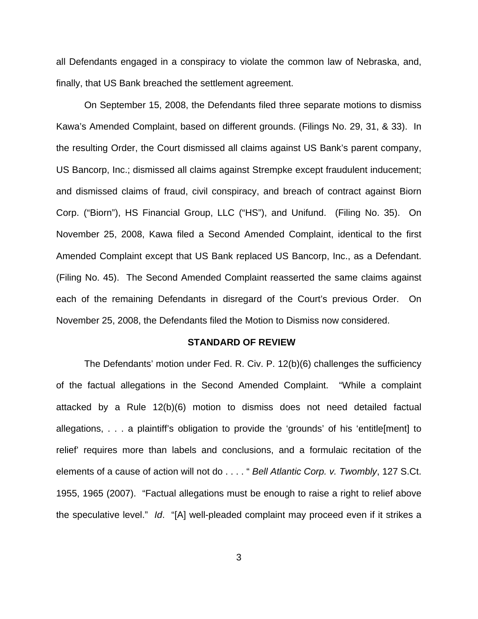all Defendants engaged in a conspiracy to violate the common law of Nebraska, and, finally, that US Bank breached the settlement agreement.

On September 15, 2008, the Defendants filed three separate motions to dismiss Kawa's Amended Complaint, based on different grounds. (Filings No. 29, 31, & 33). In the resulting Order, the Court dismissed all claims against US Bank's parent company, US Bancorp, Inc.; dismissed all claims against Strempke except fraudulent inducement; and dismissed claims of fraud, civil conspiracy, and breach of contract against Biorn Corp. ("Biorn"), HS Financial Group, LLC ("HS"), and Unifund. (Filing No. 35). On November 25, 2008, Kawa filed a Second Amended Complaint, identical to the first Amended Complaint except that US Bank replaced US Bancorp, Inc., as a Defendant. (Filing No. 45). The Second Amended Complaint reasserted the same claims against each of the remaining Defendants in disregard of the Court's previous Order. On November 25, 2008, the Defendants filed the Motion to Dismiss now considered.

#### **STANDARD OF REVIEW**

The Defendants' motion under Fed. R. Civ. P. 12(b)(6) challenges the sufficiency of the factual allegations in the Second Amended Complaint. "While a complaint attacked by a Rule 12(b)(6) motion to dismiss does not need detailed factual allegations, . . . a plaintiff's obligation to provide the 'grounds' of his 'entitle[ment] to relief' requires more than labels and conclusions, and a formulaic recitation of the elements of a cause of action will not do . . . . " *Bell Atlantic Corp. v. Twombly*, 127 S.Ct. 1955, 1965 (2007). "Factual allegations must be enough to raise a right to relief above the speculative level." *Id*. "[A] well-pleaded complaint may proceed even if it strikes a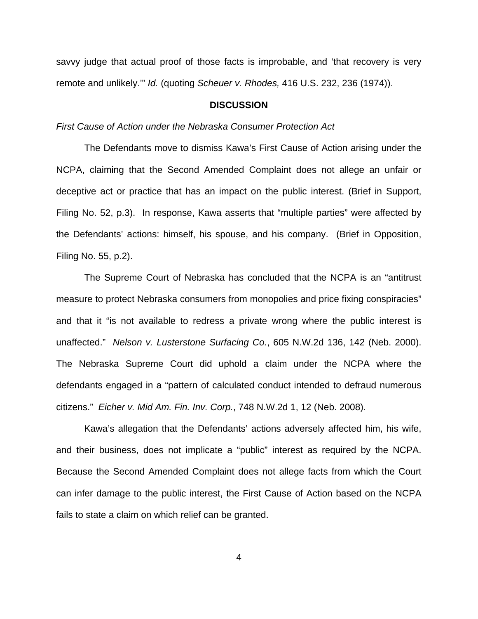savvy judge that actual proof of those facts is improbable, and 'that recovery is very remote and unlikely.'" *Id.* (quoting *Scheuer v. Rhodes,* 416 U.S. 232, 236 (1974)).

### **DISCUSSION**

#### *First Cause of Action under the Nebraska Consumer Protection Act*

The Defendants move to dismiss Kawa's First Cause of Action arising under the NCPA, claiming that the Second Amended Complaint does not allege an unfair or deceptive act or practice that has an impact on the public interest. (Brief in Support, Filing No. 52, p.3). In response, Kawa asserts that "multiple parties" were affected by the Defendants' actions: himself, his spouse, and his company. (Brief in Opposition, Filing No. 55, p.2).

The Supreme Court of Nebraska has concluded that the NCPA is an "antitrust measure to protect Nebraska consumers from monopolies and price fixing conspiracies" and that it "is not available to redress a private wrong where the public interest is unaffected." *Nelson v. Lusterstone Surfacing Co.*, 605 N.W.2d 136, 142 (Neb. 2000). The Nebraska Supreme Court did uphold a claim under the NCPA where the defendants engaged in a "pattern of calculated conduct intended to defraud numerous citizens." *Eicher v. Mid Am. Fin. Inv. Corp.*, 748 N.W.2d 1, 12 (Neb. 2008).

Kawa's allegation that the Defendants' actions adversely affected him, his wife, and their business, does not implicate a "public" interest as required by the NCPA. Because the Second Amended Complaint does not allege facts from which the Court can infer damage to the public interest, the First Cause of Action based on the NCPA fails to state a claim on which relief can be granted.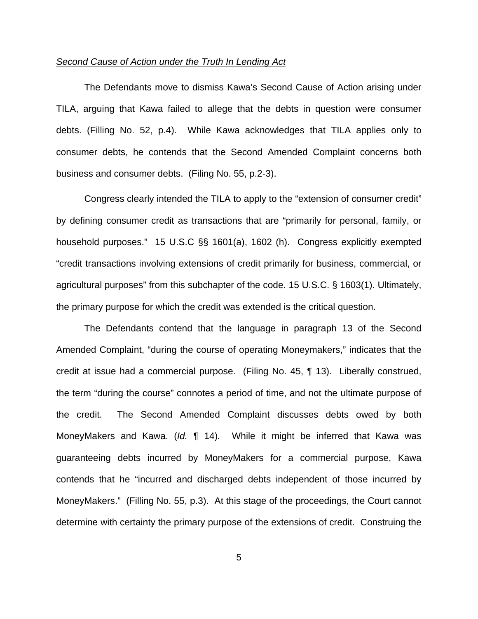### *Second Cause of Action under the Truth In Lending Act*

The Defendants move to dismiss Kawa's Second Cause of Action arising under TILA, arguing that Kawa failed to allege that the debts in question were consumer debts. (Filling No. 52, p.4). While Kawa acknowledges that TILA applies only to consumer debts, he contends that the Second Amended Complaint concerns both business and consumer debts. (Filing No. 55, p.2-3).

Congress clearly intended the TILA to apply to the "extension of consumer credit" by defining consumer credit as transactions that are "primarily for personal, family, or household purposes." 15 U.S.C §§ 1601(a), 1602 (h). Congress explicitly exempted "credit transactions involving extensions of credit primarily for business, commercial, or agricultural purposes" from this subchapter of the code. 15 U.S.C. § 1603(1). Ultimately, the primary purpose for which the credit was extended is the critical question.

The Defendants contend that the language in paragraph 13 of the Second Amended Complaint, "during the course of operating Moneymakers," indicates that the credit at issue had a commercial purpose. (Filing No. 45, ¶ 13). Liberally construed, the term "during the course" connotes a period of time, and not the ultimate purpose of the credit. The Second Amended Complaint discusses debts owed by both MoneyMakers and Kawa. (*Id.* ¶ 14)*.* While it might be inferred that Kawa was guaranteeing debts incurred by MoneyMakers for a commercial purpose, Kawa contends that he "incurred and discharged debts independent of those incurred by MoneyMakers." (Filling No. 55, p.3). At this stage of the proceedings, the Court cannot determine with certainty the primary purpose of the extensions of credit. Construing the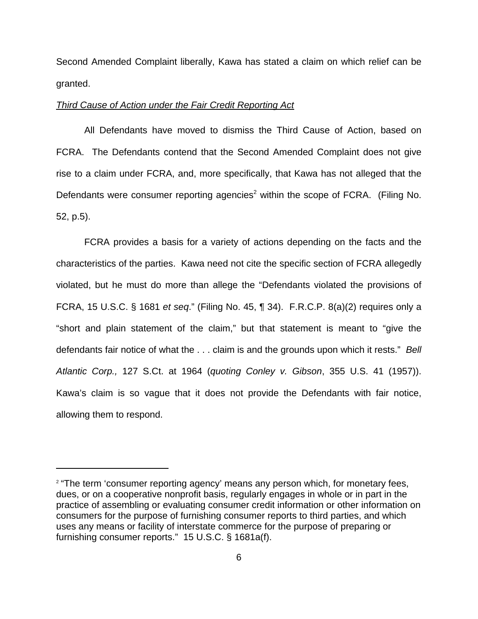Second Amended Complaint liberally, Kawa has stated a claim on which relief can be granted.

### *Third Cause of Action under the Fair Credit Reporting Act*

All Defendants have moved to dismiss the Third Cause of Action, based on FCRA. The Defendants contend that the Second Amended Complaint does not give rise to a claim under FCRA, and, more specifically, that Kawa has not alleged that the Defendants were consumer reporting agencies<sup>2</sup> within the scope of FCRA. (Filing No. 52, p.5).

FCRA provides a basis for a variety of actions depending on the facts and the characteristics of the parties. Kawa need not cite the specific section of FCRA allegedly violated, but he must do more than allege the "Defendants violated the provisions of FCRA, 15 U.S.C. § 1681 *et seq*." (Filing No. 45, ¶ 34). F.R.C.P. 8(a)(2) requires only a "short and plain statement of the claim," but that statement is meant to "give the defendants fair notice of what the . . . claim is and the grounds upon which it rests." *Bell Atlantic Corp.,* 127 S.Ct. at 1964 (*quoting Conley v. Gibson*, 355 U.S. 41 (1957)). Kawa's claim is so vague that it does not provide the Defendants with fair notice, allowing them to respond.

<sup>&</sup>lt;sup>2</sup> "The term 'consumer reporting agency' means any person which, for monetary fees, dues, or on a cooperative nonprofit basis, regularly engages in whole or in part in the practice of assembling or evaluating consumer credit information or other information on consumers for the purpose of furnishing consumer reports to third parties, and which uses any means or facility of interstate commerce for the purpose of preparing or furnishing consumer reports." 15 U.S.C. § 1681a(f).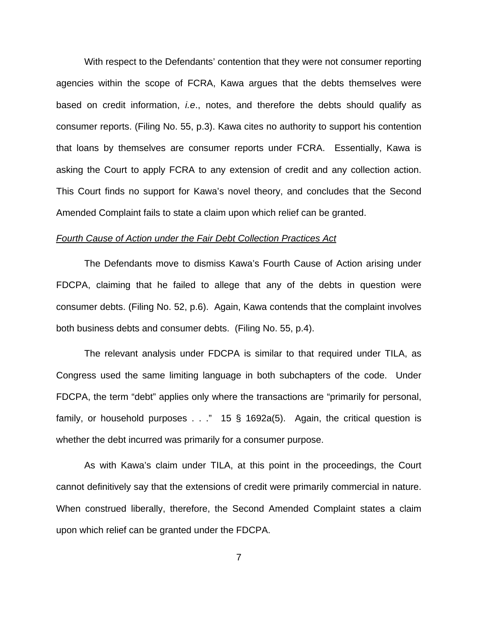With respect to the Defendants' contention that they were not consumer reporting agencies within the scope of FCRA, Kawa argues that the debts themselves were based on credit information, *i.e*., notes, and therefore the debts should qualify as consumer reports. (Filing No. 55, p.3). Kawa cites no authority to support his contention that loans by themselves are consumer reports under FCRA. Essentially, Kawa is asking the Court to apply FCRA to any extension of credit and any collection action. This Court finds no support for Kawa's novel theory, and concludes that the Second Amended Complaint fails to state a claim upon which relief can be granted.

# *Fourth Cause of Action under the Fair Debt Collection Practices Act*

The Defendants move to dismiss Kawa's Fourth Cause of Action arising under FDCPA, claiming that he failed to allege that any of the debts in question were consumer debts. (Filing No. 52, p.6). Again, Kawa contends that the complaint involves both business debts and consumer debts. (Filing No. 55, p.4).

The relevant analysis under FDCPA is similar to that required under TILA, as Congress used the same limiting language in both subchapters of the code. Under FDCPA, the term "debt" applies only where the transactions are "primarily for personal, family, or household purposes  $\ldots$  " 15 § 1692a(5). Again, the critical question is whether the debt incurred was primarily for a consumer purpose.

As with Kawa's claim under TILA, at this point in the proceedings, the Court cannot definitively say that the extensions of credit were primarily commercial in nature. When construed liberally, therefore, the Second Amended Complaint states a claim upon which relief can be granted under the FDCPA.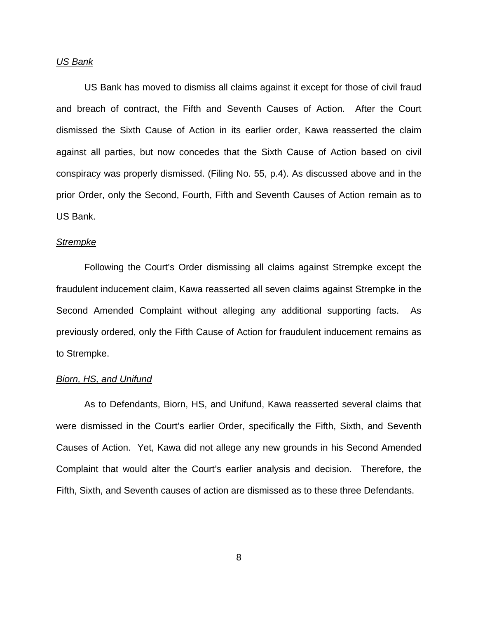# *US Bank*

US Bank has moved to dismiss all claims against it except for those of civil fraud and breach of contract, the Fifth and Seventh Causes of Action. After the Court dismissed the Sixth Cause of Action in its earlier order, Kawa reasserted the claim against all parties, but now concedes that the Sixth Cause of Action based on civil conspiracy was properly dismissed. (Filing No. 55, p.4). As discussed above and in the prior Order, only the Second, Fourth, Fifth and Seventh Causes of Action remain as to US Bank.

#### *Strempke*

Following the Court's Order dismissing all claims against Strempke except the fraudulent inducement claim, Kawa reasserted all seven claims against Strempke in the Second Amended Complaint without alleging any additional supporting facts. As previously ordered, only the Fifth Cause of Action for fraudulent inducement remains as to Strempke.

### *Biorn, HS, and Unifund*

As to Defendants, Biorn, HS, and Unifund, Kawa reasserted several claims that were dismissed in the Court's earlier Order, specifically the Fifth, Sixth, and Seventh Causes of Action. Yet, Kawa did not allege any new grounds in his Second Amended Complaint that would alter the Court's earlier analysis and decision. Therefore, the Fifth, Sixth, and Seventh causes of action are dismissed as to these three Defendants.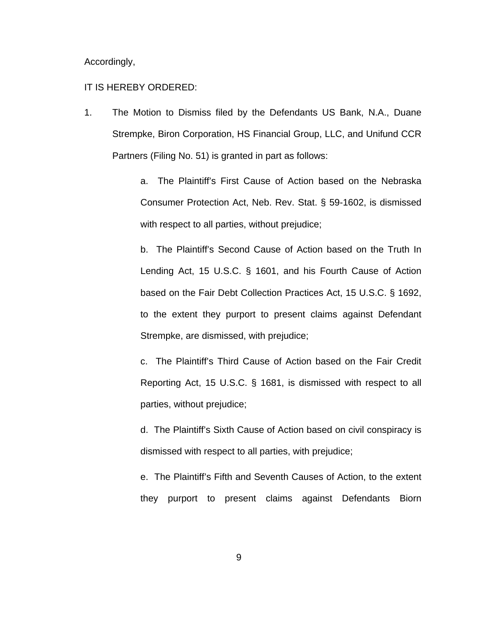Accordingly,

# IT IS HEREBY ORDERED:

1. The Motion to Dismiss filed by the Defendants US Bank, N.A., Duane Strempke, Biron Corporation, HS Financial Group, LLC, and Unifund CCR Partners (Filing No. 51) is granted in part as follows:

> a. The Plaintiff's First Cause of Action based on the Nebraska Consumer Protection Act, Neb. Rev. Stat. § 59-1602, is dismissed with respect to all parties, without prejudice;

> b. The Plaintiff's Second Cause of Action based on the Truth In Lending Act, 15 U.S.C. § 1601, and his Fourth Cause of Action based on the Fair Debt Collection Practices Act, 15 U.S.C. § 1692, to the extent they purport to present claims against Defendant Strempke, are dismissed, with prejudice;

> c. The Plaintiff's Third Cause of Action based on the Fair Credit Reporting Act, 15 U.S.C. § 1681, is dismissed with respect to all parties, without prejudice;

> d. The Plaintiff's Sixth Cause of Action based on civil conspiracy is dismissed with respect to all parties, with prejudice;

> e. The Plaintiff's Fifth and Seventh Causes of Action, to the extent they purport to present claims against Defendants Biorn